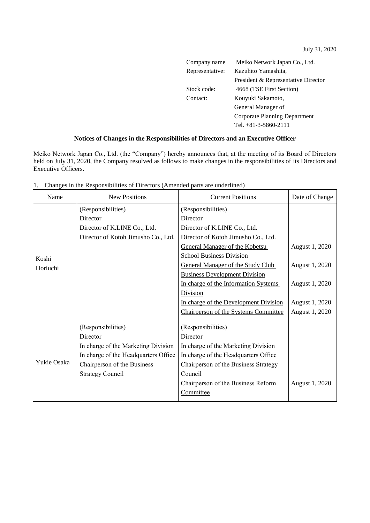July 31, 2020

 $\overline{\phantom{0}}$ 

| Company name    | Meiko Network Japan Co., Ltd.       |  |
|-----------------|-------------------------------------|--|
| Representative: | Kazuhito Yamashita,                 |  |
|                 | President & Representative Director |  |
| Stock code:     | 4668 (TSE First Section)            |  |
| Contact:        | Kouyuki Sakamoto,                   |  |
|                 | General Manager of                  |  |
|                 | Corporate Planning Department       |  |
|                 | Tel. $+81-3-5860-2111$              |  |

## **Notices of Changes in the Responsibilities of Directors and an Executive Officer**

Meiko Network Japan Co., Ltd. (the "Company") hereby announces that, at the meeting of its Board of Directors held on July 31, 2020, the Company resolved as follows to make changes in the responsibilities of its Directors and Executive Officers.

| Name              | <b>New Positions</b>                 | <b>Current Positions</b>              | Date of Change |
|-------------------|--------------------------------------|---------------------------------------|----------------|
| Koshi<br>Horiuchi | (Responsibilities)                   | (Responsibilities)                    |                |
|                   | Director                             | Director                              |                |
|                   | Director of K.LINE Co., Ltd.         | Director of K.LINE Co., Ltd.          |                |
|                   | Director of Kotoh Jimusho Co., Ltd.  | Director of Kotoh Jimusho Co., Ltd.   |                |
|                   |                                      | <b>General Manager of the Kobetsu</b> | August 1, 2020 |
|                   |                                      | <b>School Business Division</b>       |                |
|                   |                                      | General Manager of the Study Club     | August 1, 2020 |
|                   |                                      | <b>Business Development Division</b>  |                |
|                   |                                      | In charge of the Information Systems  | August 1, 2020 |
|                   |                                      | Division                              |                |
|                   |                                      | In charge of the Development Division | August 1, 2020 |
|                   |                                      | Chairperson of the Systems Committee  | August 1, 2020 |
| Yukie Osaka       | (Responsibilities)                   | (Responsibilities)                    |                |
|                   | Director                             | Director                              |                |
|                   | In charge of the Marketing Division  | In charge of the Marketing Division   |                |
|                   | In charge of the Headquarters Office | In charge of the Headquarters Office  |                |
|                   | Chairperson of the Business          | Chairperson of the Business Strategy  |                |
|                   | <b>Strategy Council</b>              | Council                               |                |
|                   |                                      | Chairperson of the Business Reform    | August 1, 2020 |
|                   |                                      | Committee                             |                |
|                   |                                      |                                       |                |

1. Changes in the Responsibilities of Directors (Amended parts are underlined)